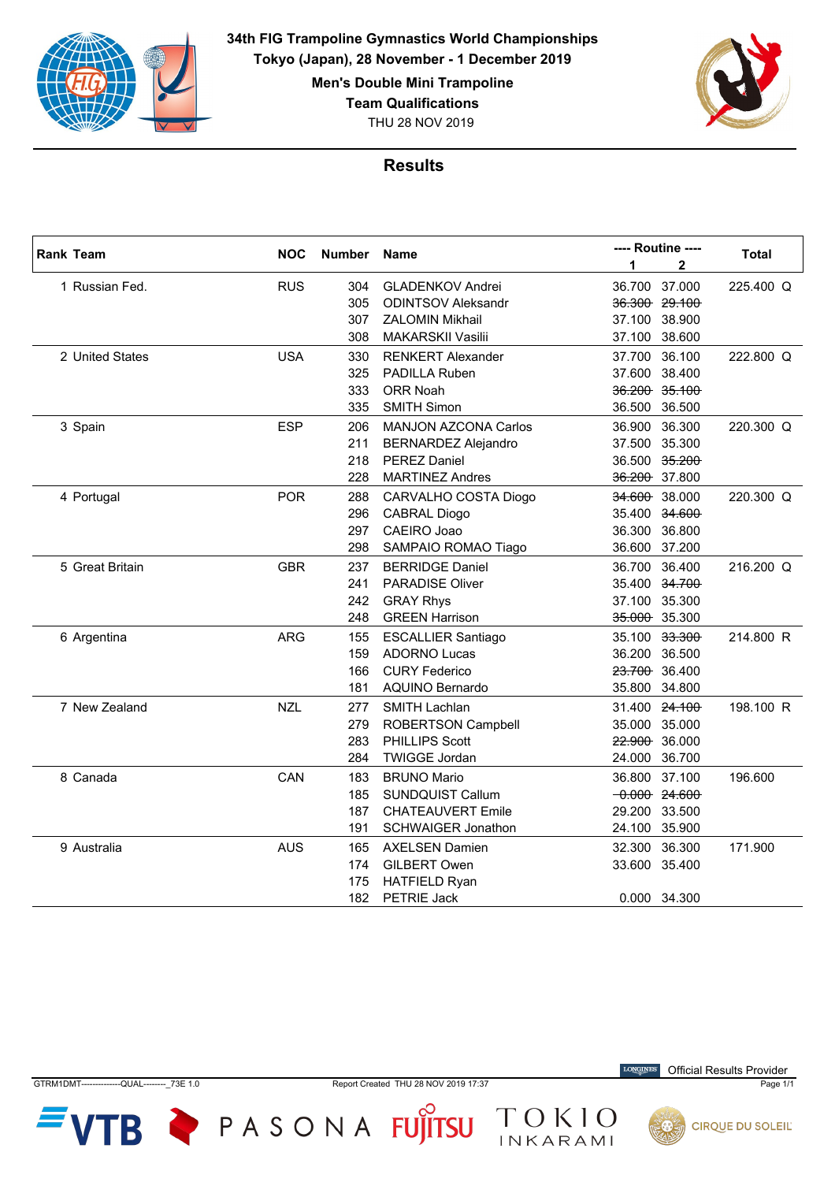

**34th FIG Trampoline Gymnastics World Championships Tokyo (Japan), 28 November - 1 December 2019**

**Men's Double Mini Trampoline**

**Team Qualifications**

THU 28 NOV 2019



## **Results**

| <b>Rank Team</b> | <b>NOC</b> | Number Name |                             | ---- Routine ----   | <b>Total</b> |
|------------------|------------|-------------|-----------------------------|---------------------|--------------|
|                  |            |             |                             | 1<br>$\overline{2}$ |              |
| 1 Russian Fed.   | <b>RUS</b> | 304         | <b>GLADENKOV Andrei</b>     | 36.700<br>37.000    | 225.400 Q    |
|                  |            | 305         | <b>ODINTSOV Aleksandr</b>   | 36.300 29.100       |              |
|                  |            | 307         | <b>ZALOMIN Mikhail</b>      | 37.100 38.900       |              |
|                  |            | 308         | <b>MAKARSKII Vasilii</b>    | 38.600<br>37.100    |              |
| 2 United States  | <b>USA</b> | 330         | <b>RENKERT Alexander</b>    | 36.100<br>37.700    | 222.800 Q    |
|                  |            | 325         | PADILLA Ruben               | 38.400<br>37.600    |              |
|                  |            | 333         | ORR Noah                    | 36.200 35.100       |              |
|                  |            | 335         | <b>SMITH Simon</b>          | 36.500<br>36.500    |              |
| 3 Spain          | <b>ESP</b> | 206         | <b>MANJON AZCONA Carlos</b> | 36.300<br>36.900    | 220.300 Q    |
|                  |            | 211         | <b>BERNARDEZ Alejandro</b>  | 37.500<br>35.300    |              |
|                  |            | 218         | <b>PEREZ Daniel</b>         | 35.200<br>36.500    |              |
|                  |            | 228         | <b>MARTINEZ Andres</b>      | 36.200 37.800       |              |
| 4 Portugal       | <b>POR</b> | 288         | CARVALHO COSTA Diogo        | 34.600 38.000       | 220.300 Q    |
|                  |            | 296         | <b>CABRAL Diogo</b>         | 34.600<br>35.400    |              |
|                  |            | 297         | CAEIRO Joao                 | 36.300<br>36.800    |              |
|                  |            | 298         | SAMPAIO ROMAO Tiago         | 36.600 37.200       |              |
| 5 Great Britain  | <b>GBR</b> | 237         | <b>BERRIDGE Daniel</b>      | 36.400<br>36.700    | 216.200 Q    |
|                  |            | 241         | <b>PARADISE Oliver</b>      | 35.400 34.700       |              |
|                  |            | 242         | <b>GRAY Rhys</b>            | 37.100 35.300       |              |
|                  |            | 248         | <b>GREEN Harrison</b>       | 35.000 35.300       |              |
| 6 Argentina      | <b>ARG</b> | 155         | <b>ESCALLIER Santiago</b>   | 35.100 33.300       | 214.800 R    |
|                  |            | 159         | <b>ADORNO Lucas</b>         | 36.200 36.500       |              |
|                  |            | 166         | <b>CURY Federico</b>        | 23.700 36.400       |              |
|                  |            | 181         | <b>AQUINO Bernardo</b>      | 35.800 34.800       |              |
| 7 New Zealand    | <b>NZL</b> | 277         | <b>SMITH Lachlan</b>        | 31.400 24.100       | 198.100 R    |
|                  |            | 279         | <b>ROBERTSON Campbell</b>   | 35.000 35.000       |              |
|                  |            | 283         | PHILLIPS Scott              | 22.900 36.000       |              |
|                  |            | 284         | <b>TWIGGE Jordan</b>        | 24.000<br>36.700    |              |
| 8 Canada         | CAN        | 183         | <b>BRUNO Mario</b>          | 37.100<br>36.800    | 196.600      |
|                  |            | 185         | <b>SUNDQUIST Callum</b>     | $-0.000$ 24.600     |              |
|                  |            | 187         | <b>CHATEAUVERT Emile</b>    | 29.200 33.500       |              |
|                  |            | 191         | <b>SCHWAIGER Jonathon</b>   | 24.100 35.900       |              |
| 9 Australia      | <b>AUS</b> | 165         | <b>AXELSEN Damien</b>       | 36.300<br>32.300    | 171.900      |
|                  |            | 174         | <b>GILBERT Owen</b>         | 33.600 35.400       |              |
|                  |            | 175         | <b>HATFIELD Ryan</b>        |                     |              |
|                  |            | 182         | <b>PETRIE Jack</b>          | 0.000 34.300        |              |



GTRM1DMT--------------QUAL--------\_73E 1.0 Report Created THU 28 NOV 2019 17:37 Page 1/1

TOKIO

 $VTB$   $\blacktriangleright$  PASONA FUJITSU

**LONGINES** Official Results Provider